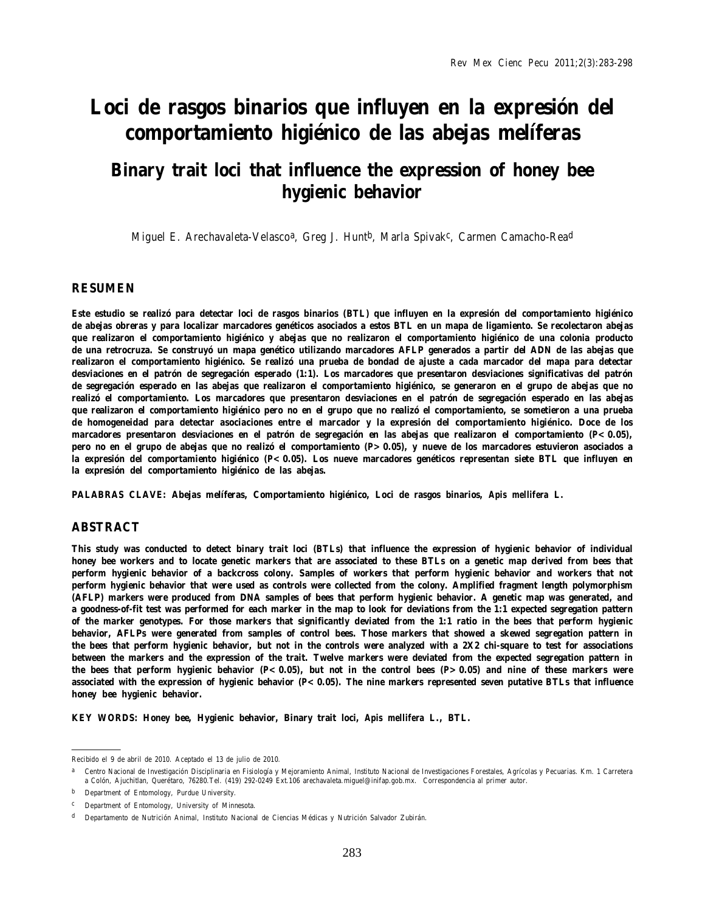# **Loci de rasgos binarios que influyen en la expresión del comportamiento higiénico de las abejas melíferas**

# **Binary trait loci that influence the expression of honey bee hygienic behavior**

Miguel E. Arechavaleta-Velasco<sup>a</sup>, Greg J. Hunt<sup>b</sup>, Marla Spivak<sup>c</sup>, Carmen Camacho-Rea<sup>d</sup>

#### **RESUMEN**

**Este estudio se realizó para detectar loci de rasgos binarios (BTL) que influyen en la expresión del comportamiento higiénico de abejas obreras y para localizar marcadores genéticos asociados a estos BTL en un mapa de ligamiento. Se recolectaron abejas que realizaron el comportamiento higiénico y abejas que no realizaron el comportamiento higiénico de una colonia producto de una retrocruza. Se construyó un mapa genético utilizando marcadores AFLP generados a partir del ADN de las abejas que realizaron el comportamiento higiénico. Se realizó una prueba de bondad de ajuste a cada marcador del mapa para detectar desviaciones en el patrón de segregación esperado (1:1). Los marcadores que presentaron desviaciones significativas del patrón de segregación esperado en las abejas que realizaron el comportamiento higiénico, se generaron en el grupo de abejas que no realizó el comportamiento. Los marcadores que presentaron desviaciones en el patrón de segregación esperado en las abejas que realizaron el comportamiento higiénico pero no en el grupo que no realizó el comportamiento, se sometieron a una prueba de homogeneidad para detectar asociaciones entre el marcador y la expresión del comportamiento higiénico. Doce de los marcadores presentaron desviaciones en el patrón de segregación en las abejas que realizaron el comportamiento (***P***<0.05), pero no en el grupo de abejas que no realizó el comportamiento (***P***>0.05), y nueve de los marcadores estuvieron asociados a la expresión del comportamiento higiénico (***P***<0.05). Los nueve marcadores genéticos representan siete BTL que influyen en la expresión del comportamiento higiénico de las abejas.**

**PALABRAS CLAVE: Abejas melíferas, Comportamiento higiénico, Loci de rasgos binarios,** *Apis mellifera* **L***.*

#### **ABSTRACT**

**This study was conducted to detect binary trait loci (BTLs) that influence the expression of hygienic behavior of individual honey bee workers and to locate genetic markers that are associated to these BTLs on a genetic map derived from bees that perform hygienic behavior of a backcross colony. Samples of workers that perform hygienic behavior and workers that not perform hygienic behavior that were used as controls were collected from the colony. Amplified fragment length polymorphism (AFLP) markers were produced from DNA samples of bees that perform hygienic behavior. A genetic map was generated, and a goodness-of-fit test was performed for each marker in the map to look for deviations from the 1:1 expected segregation pattern of the marker genotypes. For those markers that significantly deviated from the 1:1 ratio in the bees that perform hygienic behavior, AFLPs were generated from samples of control bees. Those markers that showed a skewed segregation pattern in the bees that perform hygienic behavior, but not in the controls were analyzed with a 2X2 chi-square to test for associations between the markers and the expression of the trait. Twelve markers were deviated from the expected segregation pattern in the bees that perform hygienic behavior (***P***<0.05), but not in the control bees (***P***>0.05) and nine of these markers were associated with the expression of hygienic behavior (***P***<0.05). The nine markers represented seven putative BTLs that influence honey bee hygienic behavior.**

**KEY WORDS: Honey bee, Hygienic behavior, Binary trait loci,** *Apis mellifera* **L., BTL.**

Recibido el 9 de abril de 2010. Aceptado el 13 de julio de 2010.

a Centro Nacional de Investigación Disciplinaria en Fisiología y Mejoramiento Animal, Instituto Nacional de Investigaciones Forestales, Agrícolas y Pecuarias. Km. 1 Carretera a Colón, Ajuchitlan, Querétaro, 76280.Tel. (419) 292-0249 Ext.106 arechavaleta.miguel@inifap.gob.mx. Correspondencia al primer autor.

b Department of Entomology, Purdue University.

c Department of Entomology, University of Minnesota.

d Departamento de Nutrición Animal, Instituto Nacional de Ciencias Médicas y Nutrición Salvador Zubirán.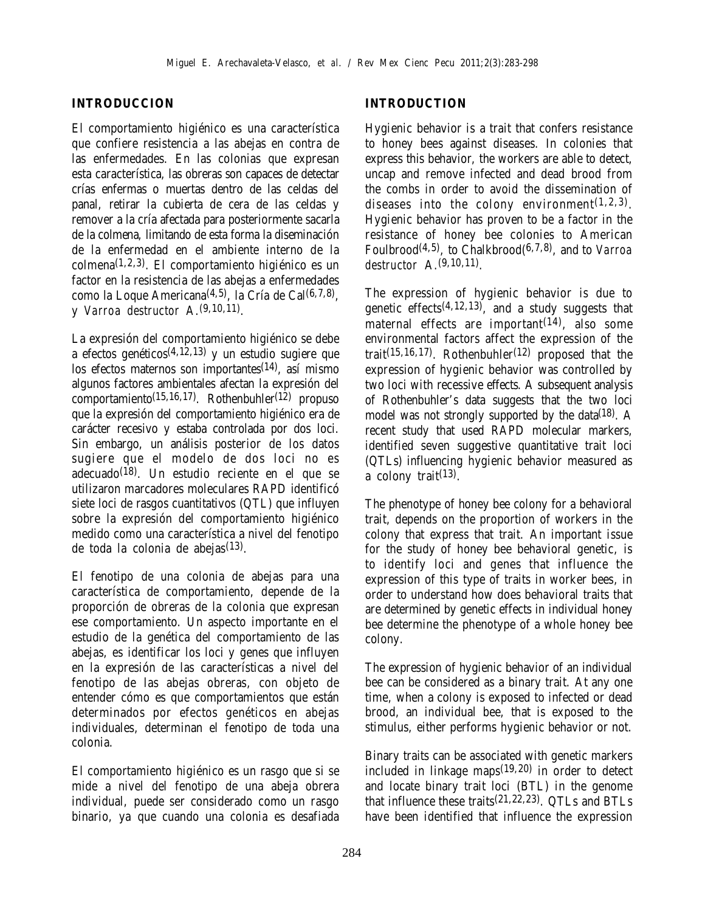#### **INTRODUCCION**

El comportamiento higiénico es una característica que confiere resistencia a las abejas en contra de las enfermedades. En las colonias que expresan esta característica, las obreras son capaces de detectar crías enfermas o muertas dentro de las celdas del panal, retirar la cubierta de cera de las celdas y remover a la cría afectada para posteriormente sacarla de la colmena, limitando de esta forma la diseminación de la enfermedad en el ambiente interno de la colmena(1,2,3). El comportamiento higiénico es un factor en la resistencia de las abejas a enfermedades como la Loque Americana(4,5), la Cría de Cal(6,7,8), y *Varroa destructor* A.(9,10,11).

La expresión del comportamiento higiénico se debe a efectos genéticos<sup> $(4,12,13)$ </sup> y un estudio sugiere que los efectos maternos son importantes(14), así mismo algunos factores ambientales afectan la expresión del comportamiento(15,16,17). Rothenbuhler(12) propuso que la expresión del comportamiento higiénico era de carácter recesivo y estaba controlada por dos loci. Sin embargo, un análisis posterior de los datos sugiere que el modelo de dos loci no es adecuado(18). Un estudio reciente en el que se utilizaron marcadores moleculares RAPD identificó siete loci de rasgos cuantitativos (QTL) que influyen sobre la expresión del comportamiento higiénico medido como una característica a nivel del fenotipo de toda la colonia de abejas(13).

El fenotipo de una colonia de abejas para una característica de comportamiento, depende de la proporción de obreras de la colonia que expresan ese comportamiento. Un aspecto importante en el estudio de la genética del comportamiento de las abejas, es identificar los loci y genes que influyen en la expresión de las características a nivel del fenotipo de las abejas obreras, con objeto de entender cómo es que comportamientos que están determinados por efectos genéticos en abejas individuales, determinan el fenotipo de toda una colonia.

El comportamiento higiénico es un rasgo que si se mide a nivel del fenotipo de una abeja obrera individual, puede ser considerado como un rasgo binario, ya que cuando una colonia es desafiada

#### **INTRODUCTION**

Hygienic behavior is a trait that confers resistance to honey bees against diseases. In colonies that express this behavior, the workers are able to detect, uncap and remove infected and dead brood from the combs in order to avoid the dissemination of diseases into the colony environment(1,2,3). Hygienic behavior has proven to be a factor in the resistance of honey bee colonies to American Foulbrood(4,5), to Chalkbrood(6,7,8), and to *Varroa destructor* A.(9,10,11).

The expression of hygienic behavior is due to genetic effects<sup>(4,12,13)</sup>, and a study suggests that maternal effects are important(14), also some environmental factors affect the expression of the trait(15,16,17). Rothenbuhler(12) proposed that the expression of hygienic behavior was controlled by two loci with recessive effects. A subsequent analysis of Rothenbuhler's data suggests that the two loci model was not strongly supported by the data<sup>(18)</sup>. A recent study that used RAPD molecular markers, identified seven suggestive quantitative trait loci (QTLs) influencing hygienic behavior measured as a colony trait(13).

The phenotype of honey bee colony for a behavioral trait, depends on the proportion of workers in the colony that express that trait. An important issue for the study of honey bee behavioral genetic, is to identify loci and genes that influence the expression of this type of traits in worker bees, in order to understand how does behavioral traits that are determined by genetic effects in individual honey bee determine the phenotype of a whole honey bee colony.

The expression of hygienic behavior of an individual bee can be considered as a binary trait. At any one time, when a colony is exposed to infected or dead brood, an individual bee, that is exposed to the stimulus, either performs hygienic behavior or not.

Binary traits can be associated with genetic markers included in linkage maps $(19,20)$  in order to detect and locate binary trait loci (BTL) in the genome that influence these traits(21,22,23). QTLs and BTLs have been identified that influence the expression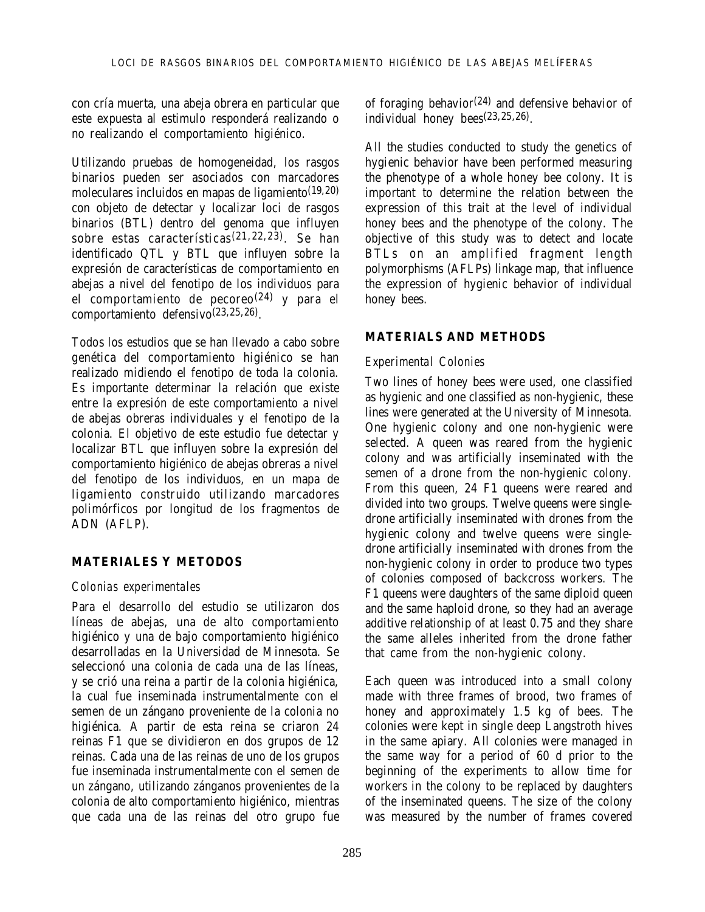con cría muerta, una abeja obrera en particular que este expuesta al estimulo responderá realizando o no realizando el comportamiento higiénico.

Utilizando pruebas de homogeneidad, los rasgos binarios pueden ser asociados con marcadores moleculares incluidos en mapas de ligamiento(19,20) con objeto de detectar y localizar loci de rasgos binarios (BTL) dentro del genoma que influyen sobre estas características(21,22,23). Se han identificado QTL y BTL que influyen sobre la expresión de características de comportamiento en abejas a nivel del fenotipo de los individuos para el comportamiento de pecoreo(24) y para el comportamiento defensivo(23,25,26).

Todos los estudios que se han llevado a cabo sobre genética del comportamiento higiénico se han realizado midiendo el fenotipo de toda la colonia. Es importante determinar la relación que existe entre la expresión de este comportamiento a nivel de abejas obreras individuales y el fenotipo de la colonia. El objetivo de este estudio fue detectar y localizar BTL que influyen sobre la expresión del comportamiento higiénico de abejas obreras a nivel del fenotipo de los individuos, en un mapa de ligamiento construido utilizando marcadores polimórficos por longitud de los fragmentos de ADN (AFLP).

### **MATERIALES Y METODOS**

#### *Colonias experimentales*

Para el desarrollo del estudio se utilizaron dos líneas de abejas, una de alto comportamiento higiénico y una de bajo comportamiento higiénico desarrolladas en la Universidad de Minnesota. Se seleccionó una colonia de cada una de las líneas, y se crió una reina a partir de la colonia higiénica, la cual fue inseminada instrumentalmente con el semen de un zángano proveniente de la colonia no higiénica. A partir de esta reina se criaron 24 reinas F1 que se dividieron en dos grupos de 12 reinas. Cada una de las reinas de uno de los grupos fue inseminada instrumentalmente con el semen de un zángano, utilizando zánganos provenientes de la colonia de alto comportamiento higiénico, mientras que cada una de las reinas del otro grupo fue of foraging behavior<sup>(24)</sup> and defensive behavior of individual honey bees(23,25,26).

All the studies conducted to study the genetics of hygienic behavior have been performed measuring the phenotype of a whole honey bee colony. It is important to determine the relation between the expression of this trait at the level of individual honey bees and the phenotype of the colony. The objective of this study was to detect and locate BTLs on an amplified fragment length polymorphisms (AFLPs) linkage map, that influence the expression of hygienic behavior of individual honey bees.

### **MATERIALS AND METHODS**

#### *Experimental Colonies*

Two lines of honey bees were used, one classified as hygienic and one classified as non-hygienic, these lines were generated at the University of Minnesota. One hygienic colony and one non-hygienic were selected. A queen was reared from the hygienic colony and was artificially inseminated with the semen of a drone from the non-hygienic colony. From this queen, 24 F1 queens were reared and divided into two groups. Twelve queens were singledrone artificially inseminated with drones from the hygienic colony and twelve queens were singledrone artificially inseminated with drones from the non-hygienic colony in order to produce two types of colonies composed of backcross workers. The F1 queens were daughters of the same diploid queen and the same haploid drone, so they had an average additive relationship of at least 0.75 and they share the same alleles inherited from the drone father that came from the non-hygienic colony.

Each queen was introduced into a small colony made with three frames of brood, two frames of honey and approximately 1.5 kg of bees. The colonies were kept in single deep Langstroth hives in the same apiary. All colonies were managed in the same way for a period of 60 d prior to the beginning of the experiments to allow time for workers in the colony to be replaced by daughters of the inseminated queens. The size of the colony was measured by the number of frames covered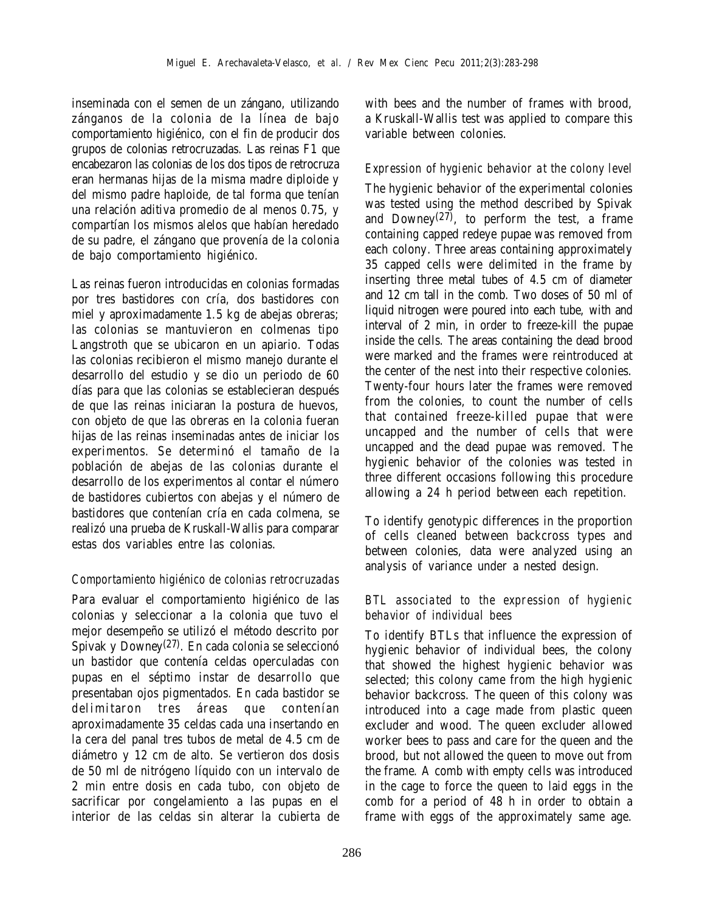inseminada con el semen de un zángano, utilizando zánganos de la colonia de la línea de bajo comportamiento higiénico, con el fin de producir dos grupos de colonias retrocruzadas. Las reinas F1 que encabezaron las colonias de los dos tipos de retrocruza eran hermanas hijas de la misma madre diploide y del mismo padre haploide, de tal forma que tenían una relación aditiva promedio de al menos 0.75, y compartían los mismos alelos que habían heredado de su padre, el zángano que provenía de la colonia de bajo comportamiento higiénico.

Las reinas fueron introducidas en colonias formadas por tres bastidores con cría, dos bastidores con miel y aproximadamente 1.5 kg de abejas obreras; las colonias se mantuvieron en colmenas tipo Langstroth que se ubicaron en un apiario. Todas las colonias recibieron el mismo manejo durante el desarrollo del estudio y se dio un periodo de 60 días para que las colonias se establecieran después de que las reinas iniciaran la postura de huevos, con objeto de que las obreras en la colonia fueran hijas de las reinas inseminadas antes de iniciar los experimentos. Se determinó el tamaño de la población de abejas de las colonias durante el desarrollo de los experimentos al contar el número de bastidores cubiertos con abejas y el número de bastidores que contenían cría en cada colmena, se realizó una prueba de Kruskall-Wallis para comparar estas dos variables entre las colonias.

### *Comportamiento higiénico de colonias retrocruzadas*

Para evaluar el comportamiento higiénico de las colonias y seleccionar a la colonia que tuvo el mejor desempeño se utilizó el método descrito por Spivak y Downey<sup>(27)</sup>. En cada colonia se seleccionó un bastidor que contenía celdas operculadas con pupas en el séptimo instar de desarrollo que presentaban ojos pigmentados. En cada bastidor se delimitaron tres áreas que contenían aproximadamente 35 celdas cada una insertando en la cera del panal tres tubos de metal de 4.5 cm de diámetro y 12 cm de alto. Se vertieron dos dosis de 50 ml de nitrógeno líquido con un intervalo de 2 min entre dosis en cada tubo, con objeto de sacrificar por congelamiento a las pupas en el interior de las celdas sin alterar la cubierta de

with bees and the number of frames with brood, a Kruskall-Wallis test was applied to compare this variable between colonies.

#### *Expression of hygienic behavior at the colony level*

The hygienic behavior of the experimental colonies was tested using the method described by Spivak and Downey<sup>(27)</sup>, to perform the test, a frame containing capped redeye pupae was removed from each colony. Three areas containing approximately 35 capped cells were delimited in the frame by inserting three metal tubes of 4.5 cm of diameter and 12 cm tall in the comb. Two doses of 50 ml of liquid nitrogen were poured into each tube, with and interval of 2 min, in order to freeze-kill the pupae inside the cells. The areas containing the dead brood were marked and the frames were reintroduced at the center of the nest into their respective colonies. Twenty-four hours later the frames were removed from the colonies, to count the number of cells that contained freeze-killed pupae that were uncapped and the number of cells that were uncapped and the dead pupae was removed. The hygienic behavior of the colonies was tested in three different occasions following this procedure allowing a 24 h period between each repetition.

To identify genotypic differences in the proportion of cells cleaned between backcross types and between colonies, data were analyzed using an analysis of variance under a nested design.

#### *BTL associated to the expression of hygienic behavior of individual bees*

To identify BTLs that influence the expression of hygienic behavior of individual bees, the colony that showed the highest hygienic behavior was selected; this colony came from the high hygienic behavior backcross. The queen of this colony was introduced into a cage made from plastic queen excluder and wood. The queen excluder allowed worker bees to pass and care for the queen and the brood, but not allowed the queen to move out from the frame. A comb with empty cells was introduced in the cage to force the queen to laid eggs in the comb for a period of 48 h in order to obtain a frame with eggs of the approximately same age.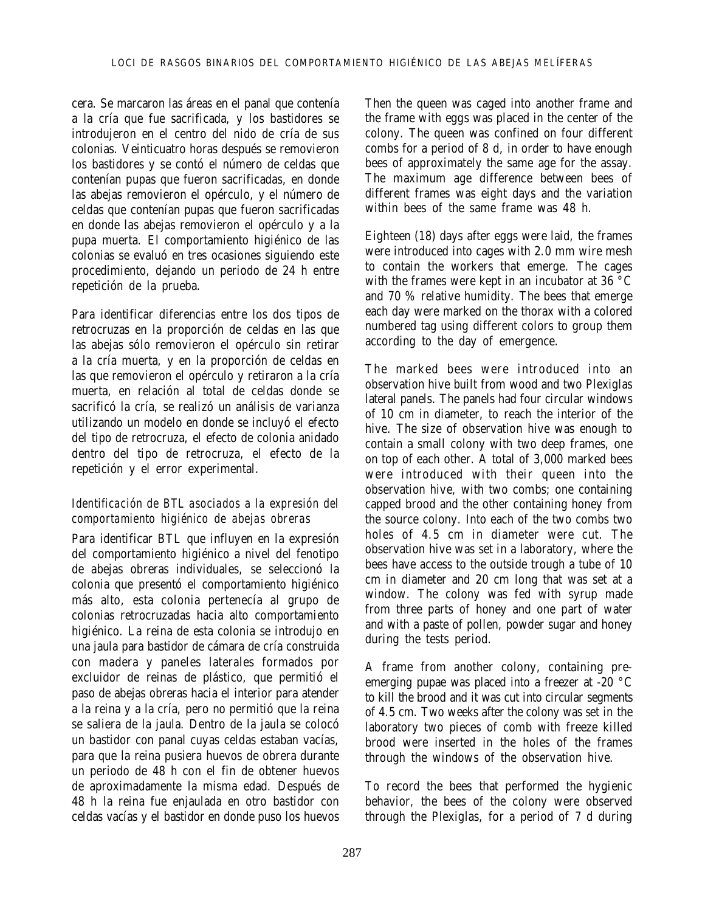cera. Se marcaron las áreas en el panal que contenía a la cría que fue sacrificada, y los bastidores se introdujeron en el centro del nido de cría de sus colonias. Veinticuatro horas después se removieron los bastidores y se contó el número de celdas que contenían pupas que fueron sacrificadas, en donde las abejas removieron el opérculo, y el número de celdas que contenían pupas que fueron sacrificadas en donde las abejas removieron el opérculo y a la pupa muerta. El comportamiento higiénico de las colonias se evaluó en tres ocasiones siguiendo este procedimiento, dejando un periodo de 24 h entre repetición de la prueba.

Para identificar diferencias entre los dos tipos de retrocruzas en la proporción de celdas en las que las abejas sólo removieron el opérculo sin retirar a la cría muerta, y en la proporción de celdas en las que removieron el opérculo y retiraron a la cría muerta, en relación al total de celdas donde se sacrificó la cría, se realizó un análisis de varianza utilizando un modelo en donde se incluyó el efecto del tipo de retrocruza, el efecto de colonia anidado dentro del tipo de retrocruza, el efecto de la repetición y el error experimental.

#### *Identificación de BTL asociados a la expresión del comportamiento higiénico de abejas obreras*

Para identificar BTL que influyen en la expresión del comportamiento higiénico a nivel del fenotipo de abejas obreras individuales, se seleccionó la colonia que presentó el comportamiento higiénico más alto, esta colonia pertenecía al grupo de colonias retrocruzadas hacia alto comportamiento higiénico. La reina de esta colonia se introdujo en una jaula para bastidor de cámara de cría construida con madera y paneles laterales formados por excluidor de reinas de plástico, que permitió el paso de abejas obreras hacia el interior para atender a la reina y a la cría, pero no permitió que la reina se saliera de la jaula. Dentro de la jaula se colocó un bastidor con panal cuyas celdas estaban vacías, para que la reina pusiera huevos de obrera durante un periodo de 48 h con el fin de obtener huevos de aproximadamente la misma edad. Después de 48 h la reina fue enjaulada en otro bastidor con celdas vacías y el bastidor en donde puso los huevos

Then the queen was caged into another frame and the frame with eggs was placed in the center of the colony. The queen was confined on four different combs for a period of 8 d, in order to have enough bees of approximately the same age for the assay. The maximum age difference between bees of different frames was eight days and the variation within bees of the same frame was 48 h.

Eighteen (18) days after eggs were laid, the frames were introduced into cages with 2.0 mm wire mesh to contain the workers that emerge. The cages with the frames were kept in an incubator at 36 °C and 70 % relative humidity. The bees that emerge each day were marked on the thorax with a colored numbered tag using different colors to group them according to the day of emergence.

The marked bees were introduced into an observation hive built from wood and two Plexiglas lateral panels. The panels had four circular windows of 10 cm in diameter, to reach the interior of the hive. The size of observation hive was enough to contain a small colony with two deep frames, one on top of each other. A total of 3,000 marked bees were introduced with their queen into the observation hive, with two combs; one containing capped brood and the other containing honey from the source colony. Into each of the two combs two holes of 4.5 cm in diameter were cut. The observation hive was set in a laboratory, where the bees have access to the outside trough a tube of 10 cm in diameter and 20 cm long that was set at a window. The colony was fed with syrup made from three parts of honey and one part of water and with a paste of pollen, powder sugar and honey during the tests period.

A frame from another colony, containing preemerging pupae was placed into a freezer at -20 °C to kill the brood and it was cut into circular segments of 4.5 cm. Two weeks after the colony was set in the laboratory two pieces of comb with freeze killed brood were inserted in the holes of the frames through the windows of the observation hive.

To record the bees that performed the hygienic behavior, the bees of the colony were observed through the Plexiglas, for a period of 7 d during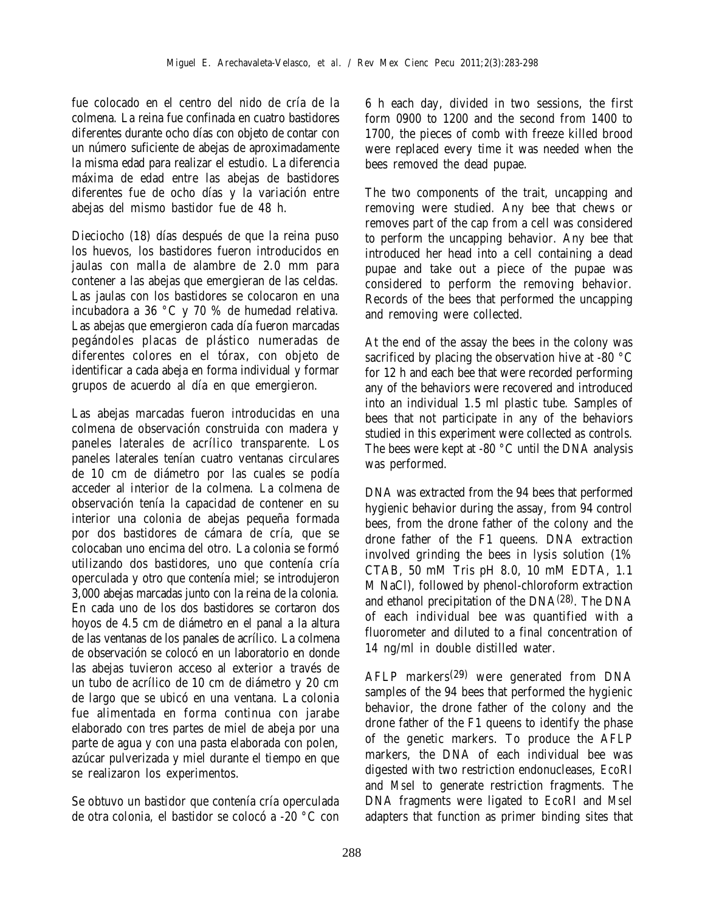fue colocado en el centro del nido de cría de la colmena. La reina fue confinada en cuatro bastidores diferentes durante ocho días con objeto de contar con un número suficiente de abejas de aproximadamente la misma edad para realizar el estudio. La diferencia máxima de edad entre las abejas de bastidores diferentes fue de ocho días y la variación entre abejas del mismo bastidor fue de 48 h.

Dieciocho (18) días después de que la reina puso los huevos, los bastidores fueron introducidos en jaulas con malla de alambre de 2.0 mm para contener a las abejas que emergieran de las celdas. Las jaulas con los bastidores se colocaron en una incubadora a 36 °C y 70 % de humedad relativa. Las abejas que emergieron cada día fueron marcadas pegándoles placas de plástico numeradas de diferentes colores en el tórax, con objeto de identificar a cada abeja en forma individual y formar grupos de acuerdo al día en que emergieron.

Las abejas marcadas fueron introducidas en una colmena de observación construida con madera y paneles laterales de acrílico transparente. Los paneles laterales tenían cuatro ventanas circulares de 10 cm de diámetro por las cuales se podía acceder al interior de la colmena. La colmena de observación tenía la capacidad de contener en su interior una colonia de abejas pequeña formada por dos bastidores de cámara de cría, que se colocaban uno encima del otro. La colonia se formó utilizando dos bastidores, uno que contenía cría operculada y otro que contenía miel; se introdujeron 3,000 abejas marcadas junto con la reina de la colonia. En cada uno de los dos bastidores se cortaron dos hoyos de 4.5 cm de diámetro en el panal a la altura de las ventanas de los panales de acrílico. La colmena de observación se colocó en un laboratorio en donde las abejas tuvieron acceso al exterior a través de un tubo de acrílico de 10 cm de diámetro y 20 cm de largo que se ubicó en una ventana. La colonia fue alimentada en forma continua con jarabe elaborado con tres partes de miel de abeja por una parte de agua y con una pasta elaborada con polen, azúcar pulverizada y miel durante el tiempo en que se realizaron los experimentos.

Se obtuvo un bastidor que contenía cría operculada de otra colonia, el bastidor se colocó a -20 °C con

6 h each day, divided in two sessions, the first form 0900 to 1200 and the second from 1400 to 1700, the pieces of comb with freeze killed brood were replaced every time it was needed when the bees removed the dead pupae.

The two components of the trait, uncapping and removing were studied. Any bee that chews or removes part of the cap from a cell was considered to perform the uncapping behavior. Any bee that introduced her head into a cell containing a dead pupae and take out a piece of the pupae was considered to perform the removing behavior. Records of the bees that performed the uncapping and removing were collected.

At the end of the assay the bees in the colony was sacrificed by placing the observation hive at -80 °C for 12 h and each bee that were recorded performing any of the behaviors were recovered and introduced into an individual 1.5 ml plastic tube. Samples of bees that not participate in any of the behaviors studied in this experiment were collected as controls. The bees were kept at -80 °C until the DNA analysis was performed.

DNA was extracted from the 94 bees that performed hygienic behavior during the assay, from 94 control bees, from the drone father of the colony and the drone father of the F1 queens. DNA extraction involved grinding the bees in lysis solution (1% CTAB, 50 mM Tris pH 8.0, 10 mM EDTA, 1.1 M NaCl), followed by phenol-chloroform extraction and ethanol precipitation of the DNA(28). The DNA of each individual bee was quantified with a fluorometer and diluted to a final concentration of 14 ng/ml in double distilled water.

AFLP markers(29) were generated from DNA samples of the 94 bees that performed the hygienic behavior, the drone father of the colony and the drone father of the F1 queens to identify the phase of the genetic markers. To produce the AFLP markers, the DNA of each individual bee was digested with two restriction endonucleases, *Eco*RI and *Mse*I to generate restriction fragments. The DNA fragments were ligated to *Eco*RI and *Mse*I adapters that function as primer binding sites that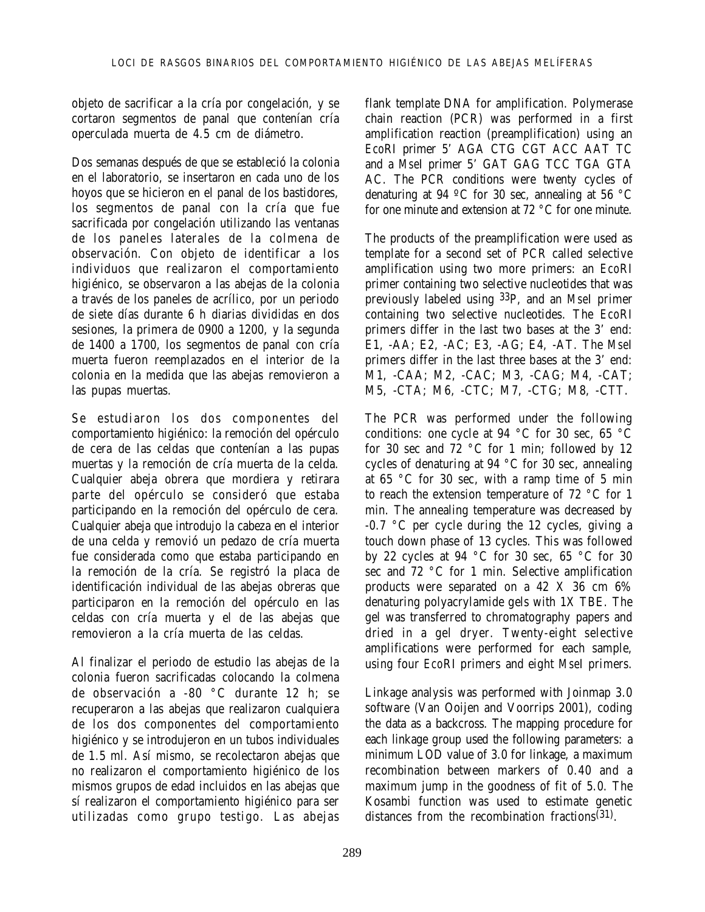objeto de sacrificar a la cría por congelación, y se cortaron segmentos de panal que contenían cría operculada muerta de 4.5 cm de diámetro.

Dos semanas después de que se estableció la colonia en el laboratorio, se insertaron en cada uno de los hoyos que se hicieron en el panal de los bastidores, los segmentos de panal con la cría que fue sacrificada por congelación utilizando las ventanas de los paneles laterales de la colmena de observación. Con objeto de identificar a los individuos que realizaron el comportamiento higiénico, se observaron a las abejas de la colonia a través de los paneles de acrílico, por un periodo de siete días durante 6 h diarias divididas en dos sesiones, la primera de 0900 a 1200, y la segunda de 1400 a 1700, los segmentos de panal con cría muerta fueron reemplazados en el interior de la colonia en la medida que las abejas removieron a las pupas muertas.

Se estudiaron los dos componentes del comportamiento higiénico: la remoción del opérculo de cera de las celdas que contenían a las pupas muertas y la remoción de cría muerta de la celda. Cualquier abeja obrera que mordiera y retirara parte del opérculo se consideró que estaba participando en la remoción del opérculo de cera. Cualquier abeja que introdujo la cabeza en el interior de una celda y removió un pedazo de cría muerta fue considerada como que estaba participando en la remoción de la cría. Se registró la placa de identificación individual de las abejas obreras que participaron en la remoción del opérculo en las celdas con cría muerta y el de las abejas que removieron a la cría muerta de las celdas.

Al finalizar el periodo de estudio las abejas de la colonia fueron sacrificadas colocando la colmena de observación a -80 °C durante 12 h; se recuperaron a las abejas que realizaron cualquiera de los dos componentes del comportamiento higiénico y se introdujeron en un tubos individuales de 1.5 ml. Así mismo, se recolectaron abejas que no realizaron el comportamiento higiénico de los mismos grupos de edad incluidos en las abejas que sí realizaron el comportamiento higiénico para ser utilizadas como grupo testigo. Las abejas

flank template DNA for amplification. Polymerase chain reaction (PCR) was performed in a first amplification reaction (preamplification) using an *Eco*RI primer 5' AGA CTG CGT ACC AAT TC and a *Mse*I primer 5' GAT GAG TCC TGA GTA AC. The PCR conditions were twenty cycles of denaturing at 94 ºC for 30 sec, annealing at 56 °C for one minute and extension at 72 °C for one minute.

The products of the preamplification were used as template for a second set of PCR called selective amplification using two more primers: an *Eco*RI primer containing two selective nucleotides that was previously labeled using 33P, and an *Mse*I primer containing two selective nucleotides. The *Eco*RI primers differ in the last two bases at the 3' end: E1, -AA; E2, -AC; E3, -AG; E4, -AT. The *Mse*I primers differ in the last three bases at the 3' end: M1, -CAA; M2, -CAC; M3, -CAG; M4, -CAT; M5, -CTA; M6, -CTC; M7, -CTG; M8, -CTT.

The PCR was performed under the following conditions: one cycle at 94 °C for 30 sec, 65 °C for 30 sec and 72 °C for 1 min; followed by 12 cycles of denaturing at 94 °C for 30 sec, annealing at 65 °C for 30 sec, with a ramp time of 5 min to reach the extension temperature of 72 °C for 1 min. The annealing temperature was decreased by -0.7 °C per cycle during the 12 cycles, giving a touch down phase of 13 cycles. This was followed by 22 cycles at 94 °C for 30 sec, 65 °C for 30 sec and 72 °C for 1 min. Selective amplification products were separated on a 42 X 36 cm 6% denaturing polyacrylamide gels with 1X TBE. The gel was transferred to chromatography papers and dried in a gel dryer. Twenty-eight selective amplifications were performed for each sample, using four *Eco*RI primers and eight *Mse*I primers.

Linkage analysis was performed with Joinmap 3.0 software (Van Ooijen and Voorrips 2001), coding the data as a backcross. The mapping procedure for each linkage group used the following parameters: a minimum LOD value of 3.0 for linkage, a maximum recombination between markers of 0.40 and a maximum jump in the goodness of fit of 5.0. The Kosambi function was used to estimate genetic distances from the recombination fractions(31).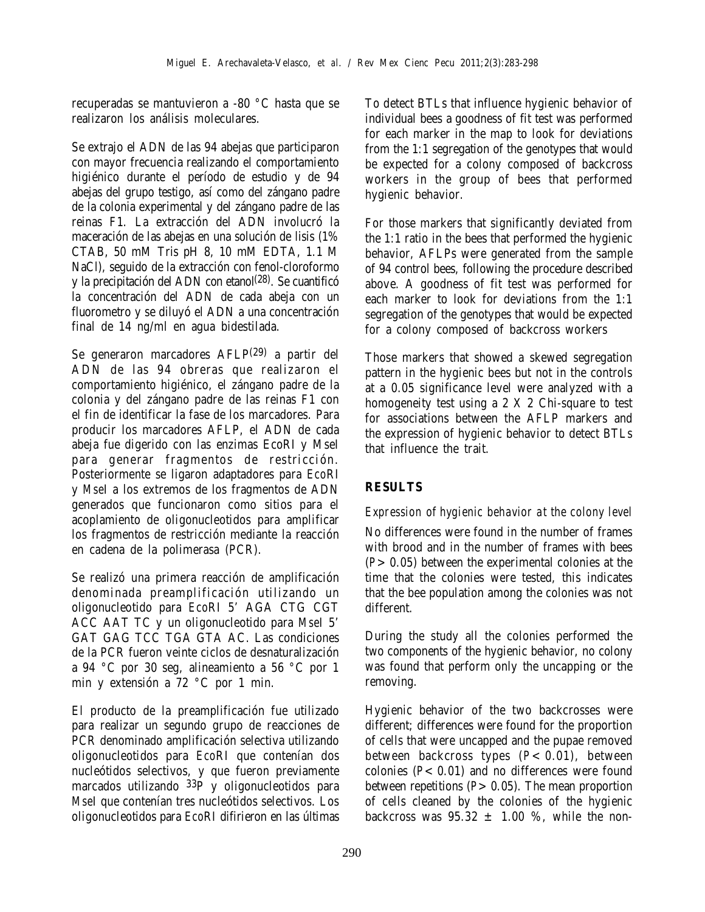recuperadas se mantuvieron a -80 °C hasta que se realizaron los análisis moleculares.

Se extrajo el ADN de las 94 abejas que participaron con mayor frecuencia realizando el comportamiento higiénico durante el período de estudio y de 94 abejas del grupo testigo, así como del zángano padre de la colonia experimental y del zángano padre de las reinas F1. La extracción del ADN involucró la maceración de las abejas en una solución de lisis (1% CTAB, 50 mM Tris pH 8, 10 mM EDTA, 1.1 M NaCl), seguido de la extracción con fenol-cloroformo y la precipitación del ADN con etanol(28). Se cuantificó la concentración del ADN de cada abeja con un fluorometro y se diluyó el ADN a una concentración final de 14 ng/ml en agua bidestilada.

Se generaron marcadores AFLP(29) a partir del ADN de las 94 obreras que realizaron el comportamiento higiénico, el zángano padre de la colonia y del zángano padre de las reinas F1 con el fin de identificar la fase de los marcadores. Para producir los marcadores AFLP, el ADN de cada abeja fue digerido con las enzimas EcoRI y MseI para generar fragmentos de restricción. Posteriormente se ligaron adaptadores para *Eco*RI y *Mse*I a los extremos de los fragmentos de ADN generados que funcionaron como sitios para el acoplamiento de oligonucleotidos para amplificar los fragmentos de restricción mediante la reacción en cadena de la polimerasa (PCR).

Se realizó una primera reacción de amplificación denominada preamplificación utilizando un oligonucleotido para *Eco*RI 5' AGA CTG CGT ACC AAT TC y un oligonucleotido para *Mse*I 5' GAT GAG TCC TGA GTA AC. Las condiciones de la PCR fueron veinte ciclos de desnaturalización a 94 °C por 30 seg, alineamiento a 56 °C por 1 min y extensión a 72 °C por 1 min.

El producto de la preamplificación fue utilizado para realizar un segundo grupo de reacciones de PCR denominado amplificación selectiva utilizando oligonucleotidos para *Eco*RI que contenían dos nucleótidos selectivos, y que fueron previamente marcados utilizando 33P y oligonucleotidos para *Mse*I que contenían tres nucleótidos selectivos. Los oligonucleotidos para *Eco*RI difirieron en las últimas

To detect BTLs that influence hygienic behavior of individual bees a goodness of fit test was performed for each marker in the map to look for deviations from the 1:1 segregation of the genotypes that would be expected for a colony composed of backcross workers in the group of bees that performed hygienic behavior.

For those markers that significantly deviated from the 1:1 ratio in the bees that performed the hygienic behavior, AFLPs were generated from the sample of 94 control bees, following the procedure described above. A goodness of fit test was performed for each marker to look for deviations from the 1:1 segregation of the genotypes that would be expected for a colony composed of backcross workers

Those markers that showed a skewed segregation pattern in the hygienic bees but not in the controls at a 0.05 significance level were analyzed with a homogeneity test using a 2 X 2 Chi-square to test for associations between the AFLP markers and the expression of hygienic behavior to detect BTLs that influence the trait.

# **RESULTS**

### *Expression of hygienic behavior at the colony level*

No differences were found in the number of frames with brood and in the number of frames with bees (*P*>0.05) between the experimental colonies at the time that the colonies were tested, this indicates that the bee population among the colonies was not different.

During the study all the colonies performed the two components of the hygienic behavior, no colony was found that perform only the uncapping or the removing.

Hygienic behavior of the two backcrosses were different; differences were found for the proportion of cells that were uncapped and the pupae removed between backcross types (*P*<0.01), between colonies  $(P< 0.01)$  and no differences were found between repetitions (*P*>0.05). The mean proportion of cells cleaned by the colonies of the hygienic backcross was  $95.32 \pm 1.00$  %, while the non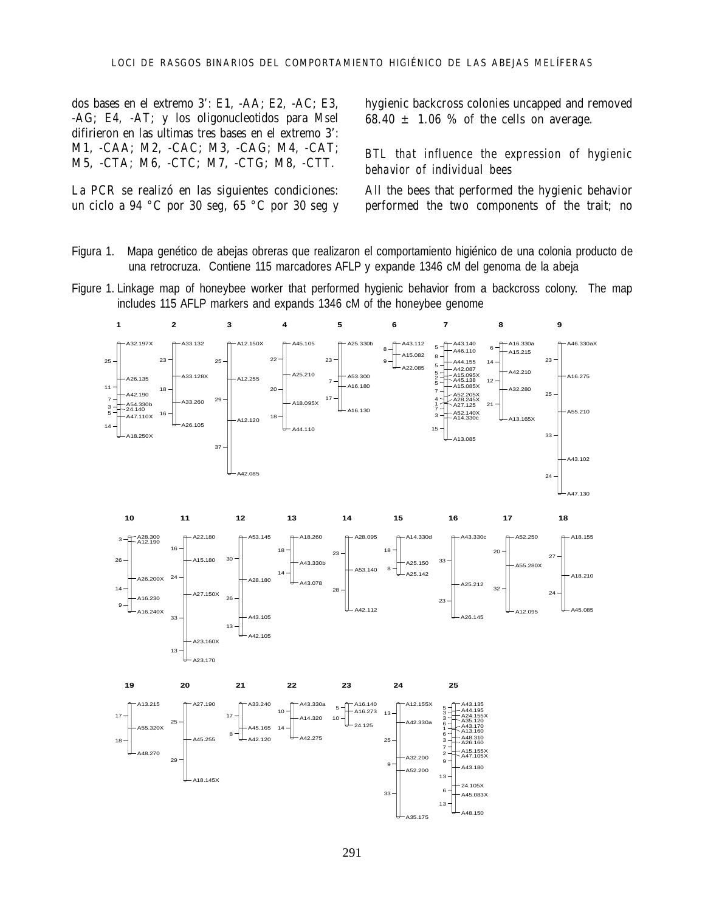dos bases en el extremo 3': E1, -AA; E2, -AC; E3, -AG; E4, -AT; y los oligonucleotidos para *Mse*I difirieron en las ultimas tres bases en el extremo 3': M1, -CAA; M2, -CAC; M3, -CAG; M4, -CAT; M5, -CTA; M6, -CTC; M7, -CTG; M8, -CTT.

La PCR se realizó en las siguientes condiciones: un ciclo a 94 °C por 30 seg, 65 °C por 30 seg y hygienic backcross colonies uncapped and removed 68.40  $\pm$  1.06 % of the cells on average.

#### *BTL that influence the expression of hygienic behavior of individual bees*

All the bees that performed the hygienic behavior performed the two components of the trait; no

- Figura 1. Mapa genético de abejas obreras que realizaron el comportamiento higiénico de una colonia producto de una retrocruza. Contiene 115 marcadores AFLP y expande 1346 cM del genoma de la abeja
- Figure 1. Linkage map of honeybee worker that performed hygienic behavior from a backcross colony. The map includes 115 AFLP markers and expands 1346 cM of the honeybee genome

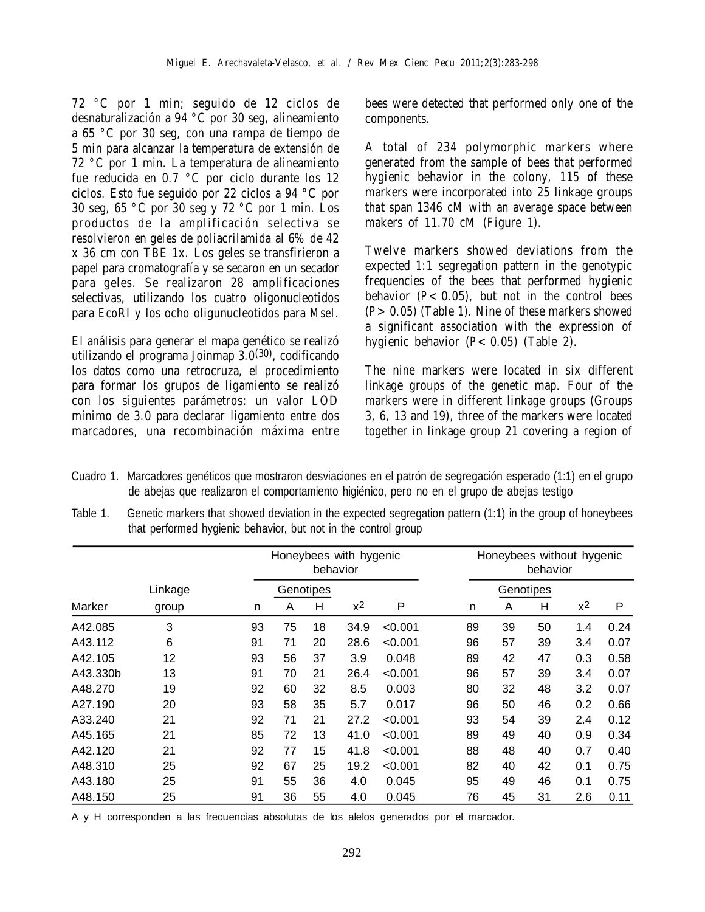72 °C por 1 min; seguido de 12 ciclos de desnaturalización a 94 °C por 30 seg, alineamiento a 65 °C por 30 seg, con una rampa de tiempo de 5 min para alcanzar la temperatura de extensión de 72 °C por 1 min. La temperatura de alineamiento fue reducida en 0.7 °C por ciclo durante los 12 ciclos. Esto fue seguido por 22 ciclos a 94 °C por 30 seg, 65 °C por 30 seg y 72 °C por 1 min. Los productos de la amplificación selectiva se resolvieron en geles de poliacrilamida al 6% de 42 x 36 cm con TBE 1x. Los geles se transfirieron a papel para cromatografía y se secaron en un secador para geles. Se realizaron 28 amplificaciones selectivas, utilizando los cuatro oligonucleotidos para *Eco*RI y los ocho oligunucleotidos para *Mse*I.

El análisis para generar el mapa genético se realizó utilizando el programa Joinmap 3.0(30), codificando los datos como una retrocruza, el procedimiento para formar los grupos de ligamiento se realizó con los siguientes parámetros: un valor LOD mínimo de 3.0 para declarar ligamiento entre dos marcadores, una recombinación máxima entre

bees were detected that performed only one of the components.

A total of 234 polymorphic markers where generated from the sample of bees that performed hygienic behavior in the colony, 115 of these markers were incorporated into 25 linkage groups that span 1346 cM with an average space between makers of 11.70 cM (Figure 1).

Twelve markers showed deviations from the expected 1:1 segregation pattern in the genotypic frequencies of the bees that performed hygienic behavior  $(P< 0.05)$ , but not in the control bees (*P*>0.05) (Table 1). Nine of these markers showed a significant association with the expression of hygienic behavior ( $P < 0.05$ ) (Table 2).

The nine markers were located in six different linkage groups of the genetic map. Four of the markers were in different linkage groups (Groups 3, 6, 13 and 19), three of the markers were located together in linkage group 21 covering a region of

- Cuadro 1. Marcadores genéticos que mostraron desviaciones en el patrón de segregación esperado (1:1) en el grupo de abejas que realizaron el comportamiento higiénico, pero no en el grupo de abejas testigo
- Table 1. Genetic markers that showed deviation in the expected segregation pattern (1:1) in the group of honeybees that performed hygienic behavior, but not in the control group

|          |           |    | Honeybees with hygenic<br>behavior |    |       | Honeybees without hygenic<br>behavior |           |    |    |       |      |
|----------|-----------|----|------------------------------------|----|-------|---------------------------------------|-----------|----|----|-------|------|
|          | Genotipes |    |                                    |    |       |                                       | Genotipes |    |    |       |      |
| Marker   | group     | n  | A                                  | Н  | $x^2$ | P                                     | n         | A  | н  | $x^2$ | P    |
| A42.085  | 3         | 93 | 75                                 | 18 | 34.9  | < 0.001                               | 89        | 39 | 50 | 1.4   | 0.24 |
| A43.112  | 6         | 91 | 71                                 | 20 | 28.6  | < 0.001                               | 96        | 57 | 39 | 3.4   | 0.07 |
| A42.105  | 12        | 93 | 56                                 | 37 | 3.9   | 0.048                                 | 89        | 42 | 47 | 0.3   | 0.58 |
| A43.330b | 13        | 91 | 70                                 | 21 | 26.4  | < 0.001                               | 96        | 57 | 39 | 3.4   | 0.07 |
| A48.270  | 19        | 92 | 60                                 | 32 | 8.5   | 0.003                                 | 80        | 32 | 48 | 3.2   | 0.07 |
| A27.190  | 20        | 93 | 58                                 | 35 | 5.7   | 0.017                                 | 96        | 50 | 46 | 0.2   | 0.66 |
| A33.240  | 21        | 92 | 71                                 | 21 | 27.2  | < 0.001                               | 93        | 54 | 39 | 2.4   | 0.12 |
| A45.165  | 21        | 85 | 72                                 | 13 | 41.0  | < 0.001                               | 89        | 49 | 40 | 0.9   | 0.34 |
| A42.120  | 21        | 92 | 77                                 | 15 | 41.8  | < 0.001                               | 88        | 48 | 40 | 0.7   | 0.40 |
| A48.310  | 25        | 92 | 67                                 | 25 | 19.2  | < 0.001                               | 82        | 40 | 42 | 0.1   | 0.75 |
| A43.180  | 25        | 91 | 55                                 | 36 | 4.0   | 0.045                                 | 95        | 49 | 46 | 0.1   | 0.75 |
| A48.150  | 25        | 91 | 36                                 | 55 | 4.0   | 0.045                                 | 76        | 45 | 31 | 2.6   | 0.11 |

A y H corresponden a las frecuencias absolutas de los alelos generados por el marcador.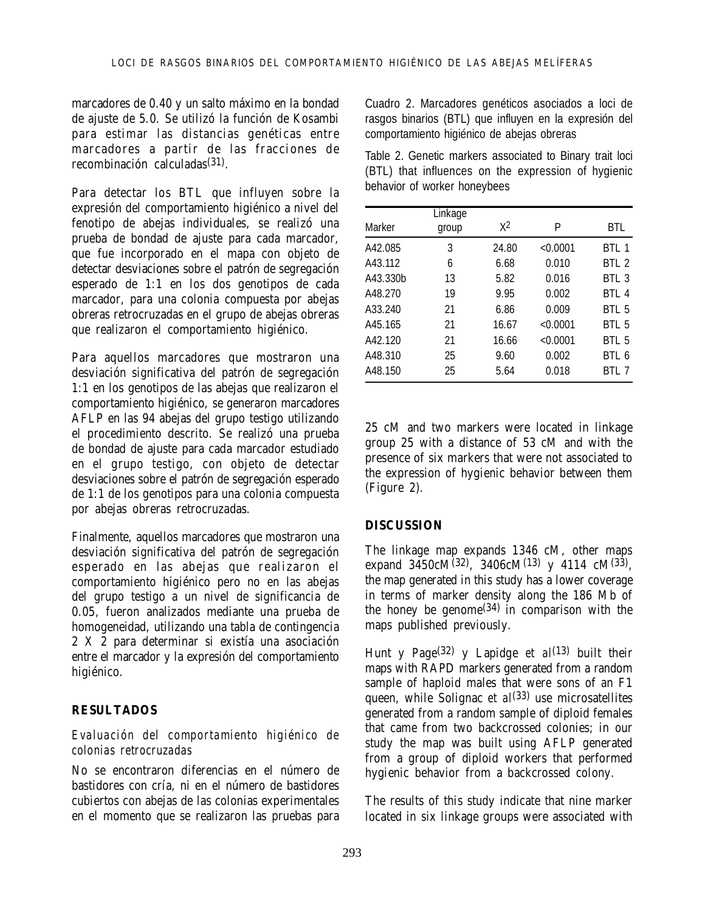marcadores de 0.40 y un salto máximo en la bondad de ajuste de 5.0. Se utilizó la función de Kosambi para estimar las distancias genéticas entre marcadores a partir de las fracciones de recombinación calculadas(31).

Para detectar los BTL que influyen sobre la expresión del comportamiento higiénico a nivel del fenotipo de abejas individuales, se realizó una prueba de bondad de ajuste para cada marcador, que fue incorporado en el mapa con objeto de detectar desviaciones sobre el patrón de segregación esperado de 1:1 en los dos genotipos de cada marcador, para una colonia compuesta por abejas obreras retrocruzadas en el grupo de abejas obreras que realizaron el comportamiento higiénico.

Para aquellos marcadores que mostraron una desviación significativa del patrón de segregación 1:1 en los genotipos de las abejas que realizaron el comportamiento higiénico, se generaron marcadores AFLP en las 94 abejas del grupo testigo utilizando el procedimiento descrito. Se realizó una prueba de bondad de ajuste para cada marcador estudiado en el grupo testigo, con objeto de detectar desviaciones sobre el patrón de segregación esperado de 1:1 de los genotipos para una colonia compuesta por abejas obreras retrocruzadas.

Finalmente, aquellos marcadores que mostraron una desviación significativa del patrón de segregación esperado en las abejas que realizaron el comportamiento higiénico pero no en las abejas del grupo testigo a un nivel de significancia de 0.05, fueron analizados mediante una prueba de homogeneidad, utilizando una tabla de contingencia 2 X 2 para determinar si existía una asociación entre el marcador y la expresión del comportamiento higiénico.

### **RESULTADOS**

#### *Evaluación del comportamiento higiénico de colonias retrocruzadas*

No se encontraron diferencias en el número de bastidores con cría, ni en el número de bastidores cubiertos con abejas de las colonias experimentales en el momento que se realizaron las pruebas para Cuadro 2. Marcadores genéticos asociados a loci de rasgos binarios (BTL) que influyen en la expresión del comportamiento higiénico de abejas obreras

Table 2. Genetic markers associated to Binary trait loci (BTL) that influences on the expression of hygienic behavior of worker honeybees

| Marker   | Linkage<br>group | $X^2$ | P        | BTL              |
|----------|------------------|-------|----------|------------------|
| A42.085  | 3                | 24.80 | < 0.0001 | BTL 1            |
| A43.112  | 6                | 6.68  | 0.010    | BTL <sub>2</sub> |
| A43.330b | 13               | 5.82  | 0.016    | BTL <sub>3</sub> |
| A48.270  | 19               | 9.95  | 0.002    | BTI <sub>4</sub> |
| A33.240  | 21               | 6.86  | 0.009    | BTL <sub>5</sub> |
| A45.165  | 21               | 16.67 | < 0.0001 | BTL <sub>5</sub> |
| A42.120  | 21               | 16.66 | < 0.0001 | BTL <sub>5</sub> |
| A48.310  | 25               | 9.60  | 0.002    | BTI 6            |
| A48.150  | 25               | 5.64  | 0.018    | BTL 7            |

25 cM and two markers were located in linkage group 25 with a distance of 53 cM and with the presence of six markers that were not associated to the expression of hygienic behavior between them (Figure 2).

### **DISCUSSION**

The linkage map expands 1346 cM, other maps expand  $3450cM^{(32)}$ ,  $3406cM^{(13)}$  y 4114 cM(33), the map generated in this study has a lower coverage in terms of marker density along the 186 Mb of the honey be genome $(34)$  in comparison with the maps published previously.

Hunt y Page(32) y Lapidge *et al*(13) built their maps with RAPD markers generated from a random sample of haploid males that were sons of an F1 queen, while Solignac *et al*<sup>(33)</sup> use microsatellites generated from a random sample of diploid females that came from two backcrossed colonies; in our study the map was built using AFLP generated from a group of diploid workers that performed hygienic behavior from a backcrossed colony.

The results of this study indicate that nine marker located in six linkage groups were associated with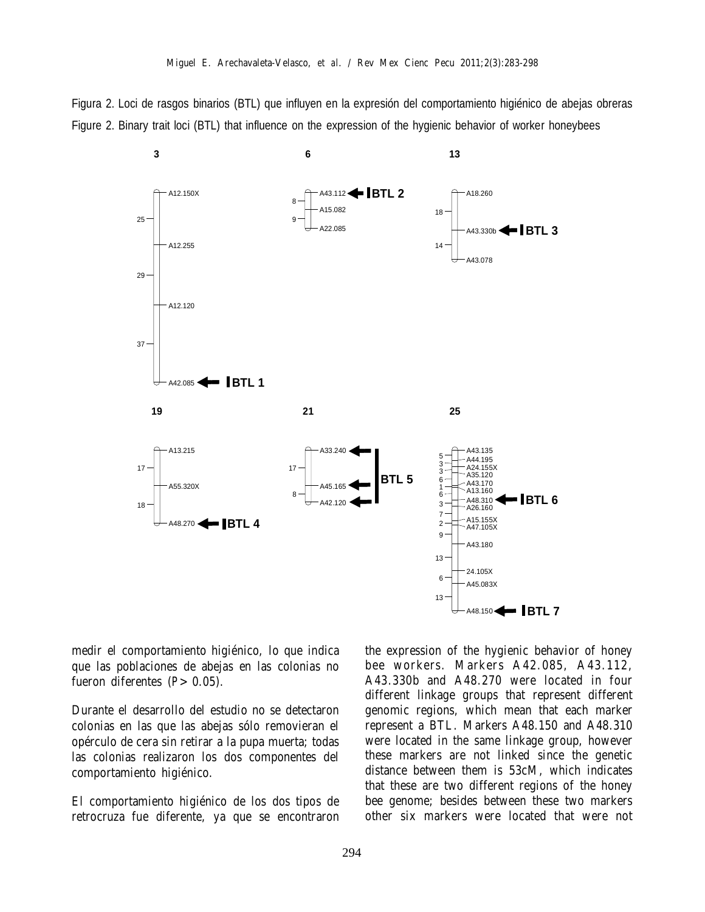Figura 2. Loci de rasgos binarios (BTL) que influyen en la expresión del comportamiento higiénico de abejas obreras Figure 2. Binary trait loci (BTL) that influence on the expression of the hygienic behavior of worker honeybees



medir el comportamiento higiénico, lo que indica que las poblaciones de abejas en las colonias no fueron diferentes  $(P > 0.05)$ .

Durante el desarrollo del estudio no se detectaron colonias en las que las abejas sólo removieran el opérculo de cera sin retirar a la pupa muerta; todas las colonias realizaron los dos componentes del comportamiento higiénico.

El comportamiento higiénico de los dos tipos de retrocruza fue diferente, ya que se encontraron

the expression of the hygienic behavior of honey bee workers. Markers A42.085, A43.112, A43.330b and A48.270 were located in four different linkage groups that represent different genomic regions, which mean that each marker represent a BTL. Markers A48.150 and A48.310 were located in the same linkage group, however these markers are not linked since the genetic distance between them is 53cM, which indicates that these are two different regions of the honey bee genome; besides between these two markers other six markers were located that were not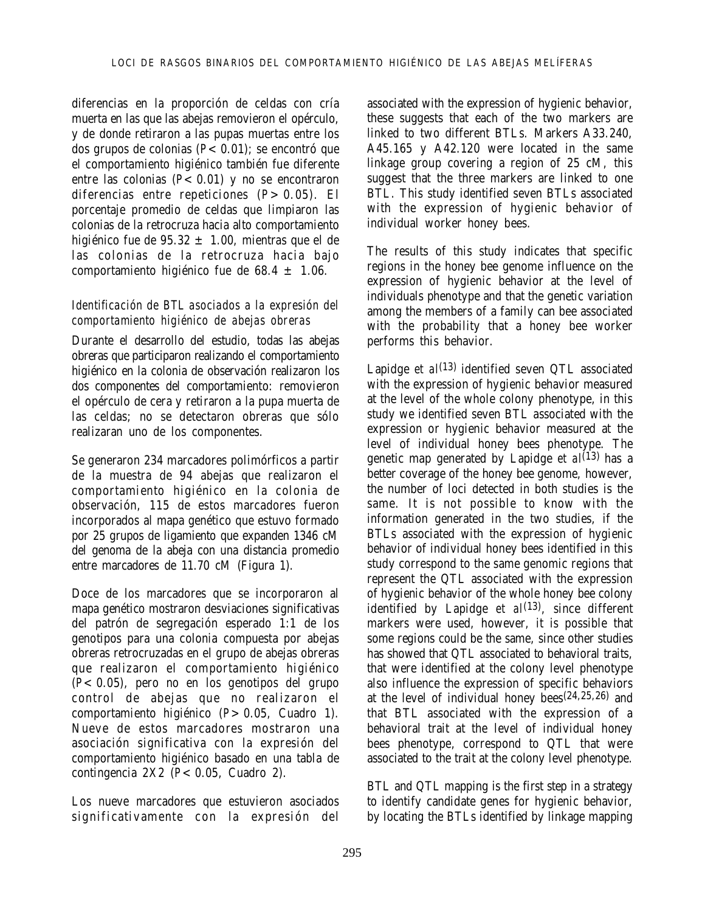diferencias en la proporción de celdas con cría muerta en las que las abejas removieron el opérculo, y de donde retiraron a las pupas muertas entre los dos grupos de colonias (*P*<0.01); se encontró que el comportamiento higiénico también fue diferente entre las colonias  $(P< 0.01)$  y no se encontraron diferencias entre repeticiones (*P*>0.05). El porcentaje promedio de celdas que limpiaron las colonias de la retrocruza hacia alto comportamiento higiénico fue de 95.32  $\pm$  1.00, mientras que el de las colonias de la retrocruza hacia bajo comportamiento higiénico fue de 68.4  $\pm$  1.06.

#### *Identificación de BTL asociados a la expresión del comportamiento higiénico de abejas obreras*

Durante el desarrollo del estudio, todas las abejas obreras que participaron realizando el comportamiento higiénico en la colonia de observación realizaron los dos componentes del comportamiento: removieron el opérculo de cera y retiraron a la pupa muerta de las celdas; no se detectaron obreras que sólo realizaran uno de los componentes.

Se generaron 234 marcadores polimórficos a partir de la muestra de 94 abejas que realizaron el comportamiento higiénico en la colonia de observación, 115 de estos marcadores fueron incorporados al mapa genético que estuvo formado por 25 grupos de ligamiento que expanden 1346 cM del genoma de la abeja con una distancia promedio entre marcadores de 11.70 cM (Figura 1).

Doce de los marcadores que se incorporaron al mapa genético mostraron desviaciones significativas del patrón de segregación esperado 1:1 de los genotipos para una colonia compuesta por abejas obreras retrocruzadas en el grupo de abejas obreras que realizaron el comportamiento higiénico (*P*<0.05), pero no en los genotipos del grupo control de abejas que no realizaron el comportamiento higiénico (*P*>0.05, Cuadro 1). Nueve de estos marcadores mostraron una asociación significativa con la expresión del comportamiento higiénico basado en una tabla de contingencia 2X2 (*P*<0.05, Cuadro 2).

Los nueve marcadores que estuvieron asociados significativamente con la expresión del associated with the expression of hygienic behavior, these suggests that each of the two markers are linked to two different BTLs. Markers A33.240, A45.165 y A42.120 were located in the same linkage group covering a region of 25 cM, this suggest that the three markers are linked to one BTL. This study identified seven BTLs associated with the expression of hygienic behavior of individual worker honey bees.

The results of this study indicates that specific regions in the honey bee genome influence on the expression of hygienic behavior at the level of individuals phenotype and that the genetic variation among the members of a family can bee associated with the probability that a honey bee worker performs this behavior.

Lapidge *et al*<sup>(13)</sup> identified seven QTL associated with the expression of hygienic behavior measured at the level of the whole colony phenotype, in this study we identified seven BTL associated with the expression or hygienic behavior measured at the level of individual honey bees phenotype. The genetic map generated by Lapidge *et al*(13) has a better coverage of the honey bee genome, however, the number of loci detected in both studies is the same. It is not possible to know with the information generated in the two studies, if the BTLs associated with the expression of hygienic behavior of individual honey bees identified in this study correspond to the same genomic regions that represent the QTL associated with the expression of hygienic behavior of the whole honey bee colony identified by Lapidge *et al*<sup>(13)</sup>, since different markers were used, however, it is possible that some regions could be the same, since other studies has showed that QTL associated to behavioral traits, that were identified at the colony level phenotype also influence the expression of specific behaviors at the level of individual honey bees<sup>(24,25,26)</sup> and that BTL associated with the expression of a behavioral trait at the level of individual honey bees phenotype, correspond to QTL that were associated to the trait at the colony level phenotype.

BTL and QTL mapping is the first step in a strategy to identify candidate genes for hygienic behavior, by locating the BTLs identified by linkage mapping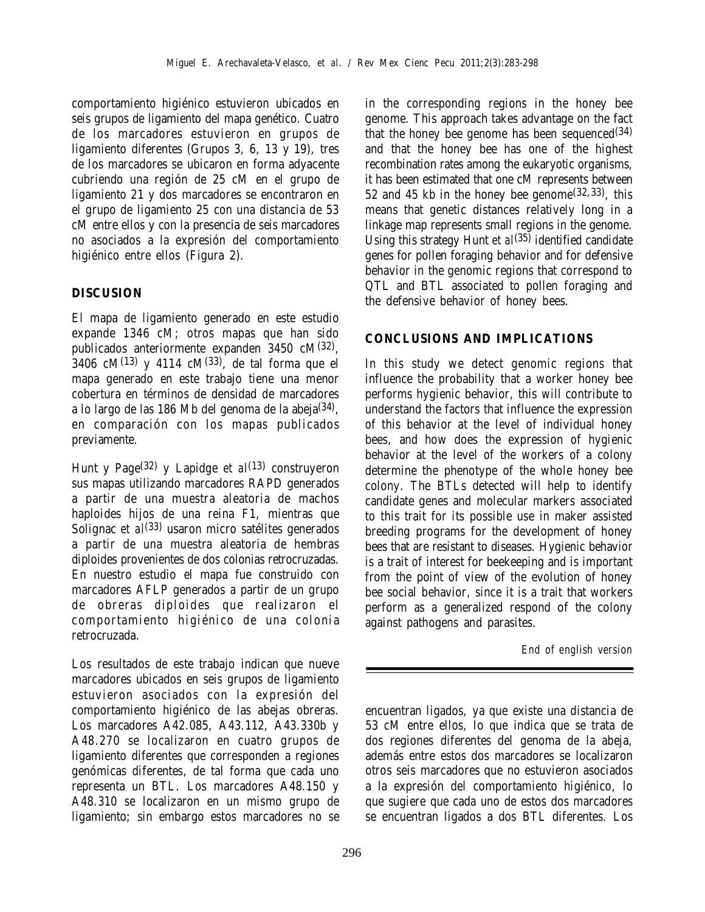comportamiento higiénico estuvieron ubicados en seis grupos de ligamiento del mapa genético. Cuatro de los marcadores estuvieron en grupos de ligamiento diferentes (Grupos 3, 6, 13 y 19), tres de los marcadores se ubicaron en forma adyacente cubriendo una región de 25 cM en el grupo de ligamiento 21 y dos marcadores se encontraron en el grupo de ligamiento 25 con una distancia de 53 cM entre ellos y con la presencia de seis marcadores no asociados a la expresión del comportamiento higiénico entre ellos (Figura 2).

## **DISCUSION**

El mapa de ligamiento generado en este estudio expande 1346 cM; otros mapas que han sido publicados anteriormente expanden 3450 cM(32), 3406 cM $(13)$  y 4114 cM $(33)$ , de tal forma que el mapa generado en este trabajo tiene una menor cobertura en términos de densidad de marcadores a lo largo de las 186 Mb del genoma de la abeja(34), en comparación con los mapas publicados previamente.

Hunt y Page<sup>(32)</sup> y Lapidge *et al*<sup>(13)</sup> construyeron sus mapas utilizando marcadores RAPD generados a partir de una muestra aleatoria de machos haploides hijos de una reina F1, mientras que Solignac *et al*<sup>(33)</sup> usaron micro satélites generados a partir de una muestra aleatoria de hembras diploides provenientes de dos colonias retrocruzadas. En nuestro estudio el mapa fue construido con marcadores AFLP generados a partir de un grupo de obreras diploides que realizaron el comportamiento higiénico de una colonia retrocruzada.

Los resultados de este trabajo indican que nueve marcadores ubicados en seis grupos de ligamiento estuvieron asociados con la expresión del comportamiento higiénico de las abejas obreras. Los marcadores A42.085, A43.112, A43.330b y A48.270 se localizaron en cuatro grupos de ligamiento diferentes que corresponden a regiones genómicas diferentes, de tal forma que cada uno representa un BTL. Los marcadores A48.150 y A48.310 se localizaron en un mismo grupo de ligamiento; sin embargo estos marcadores no se

in the corresponding regions in the honey bee genome. This approach takes advantage on the fact that the honey bee genome has been sequenced $(34)$ and that the honey bee has one of the highest recombination rates among the eukaryotic organisms, it has been estimated that one cM represents between 52 and 45 kb in the honey bee genome  $(32,33)$ , this means that genetic distances relatively long in a linkage map represents small regions in the genome. Using this strategy Hunt *et al*(35) identified candidate genes for pollen foraging behavior and for defensive behavior in the genomic regions that correspond to QTL and BTL associated to pollen foraging and the defensive behavior of honey bees.

## **CONCLUSIONS AND IMPLICATIONS**

In this study we detect genomic regions that influence the probability that a worker honey bee performs hygienic behavior, this will contribute to understand the factors that influence the expression of this behavior at the level of individual honey bees, and how does the expression of hygienic behavior at the level of the workers of a colony determine the phenotype of the whole honey bee colony. The BTLs detected will help to identify candidate genes and molecular markers associated to this trait for its possible use in maker assisted breeding programs for the development of honey bees that are resistant to diseases. Hygienic behavior is a trait of interest for beekeeping and is important from the point of view of the evolution of honey bee social behavior, since it is a trait that workers perform as a generalized respond of the colony against pathogens and parasites.

*End of english version*

encuentran ligados, ya que existe una distancia de 53 cM entre ellos, lo que indica que se trata de dos regiones diferentes del genoma de la abeja, además entre estos dos marcadores se localizaron otros seis marcadores que no estuvieron asociados a la expresión del comportamiento higiénico, lo que sugiere que cada uno de estos dos marcadores se encuentran ligados a dos BTL diferentes. Los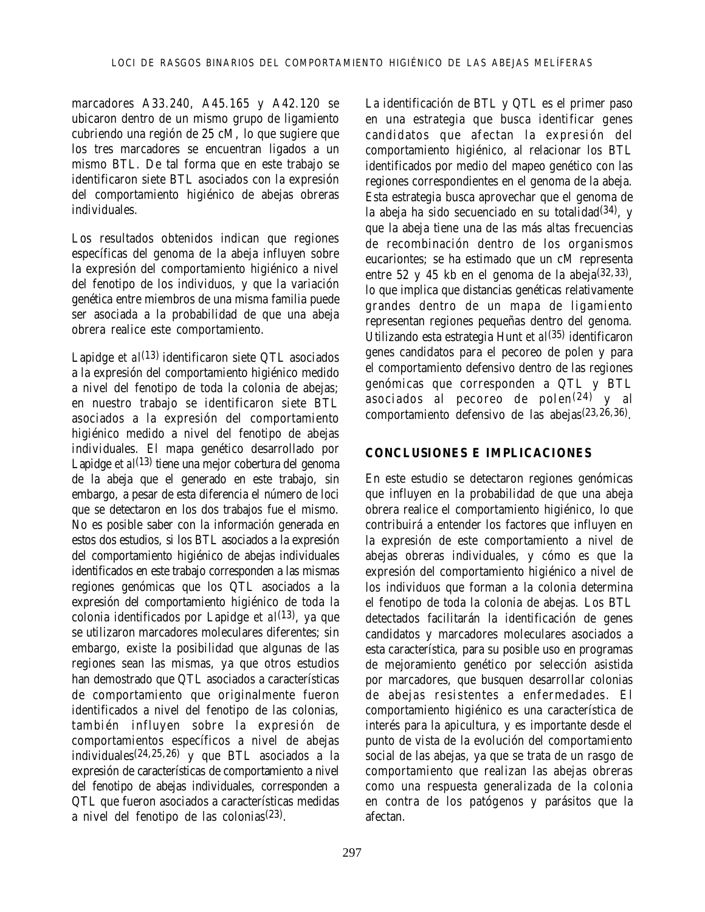marcadores A33.240, A45.165 y A42.120 se ubicaron dentro de un mismo grupo de ligamiento cubriendo una región de 25 cM, lo que sugiere que los tres marcadores se encuentran ligados a un mismo BTL. De tal forma que en este trabajo se identificaron siete BTL asociados con la expresión del comportamiento higiénico de abejas obreras individuales.

Los resultados obtenidos indican que regiones específicas del genoma de la abeja influyen sobre la expresión del comportamiento higiénico a nivel del fenotipo de los individuos, y que la variación genética entre miembros de una misma familia puede ser asociada a la probabilidad de que una abeja obrera realice este comportamiento.

Lapidge *et al*<sup>(13)</sup> identificaron siete QTL asociados a la expresión del comportamiento higiénico medido a nivel del fenotipo de toda la colonia de abejas; en nuestro trabajo se identificaron siete BTL asociados a la expresión del comportamiento higiénico medido a nivel del fenotipo de abejas individuales. El mapa genético desarrollado por Lapidge *et al*<sup>(13)</sup> tiene una mejor cobertura del genoma de la abeja que el generado en este trabajo, sin embargo, a pesar de esta diferencia el número de loci que se detectaron en los dos trabajos fue el mismo. No es posible saber con la información generada en estos dos estudios, si los BTL asociados a la expresión del comportamiento higiénico de abejas individuales identificados en este trabajo corresponden a las mismas regiones genómicas que los QTL asociados a la expresión del comportamiento higiénico de toda la colonia identificados por Lapidge *et al*(13), ya que se utilizaron marcadores moleculares diferentes; sin embargo, existe la posibilidad que algunas de las regiones sean las mismas, ya que otros estudios han demostrado que QTL asociados a características de comportamiento que originalmente fueron identificados a nivel del fenotipo de las colonias, también influyen sobre la expresión de comportamientos específicos a nivel de abejas individuales(24,25,26) y que BTL asociados a la expresión de características de comportamiento a nivel del fenotipo de abejas individuales, corresponden a QTL que fueron asociados a características medidas a nivel del fenotipo de las colonias(23).

La identificación de BTL y QTL es el primer paso en una estrategia que busca identificar genes candidatos que afectan la expresión del comportamiento higiénico, al relacionar los BTL identificados por medio del mapeo genético con las regiones correspondientes en el genoma de la abeja. Esta estrategia busca aprovechar que el genoma de la abeja ha sido secuenciado en su totalidad $(34)$ , y que la abeja tiene una de las más altas frecuencias de recombinación dentro de los organismos eucariontes; se ha estimado que un cM representa entre 52 y 45 kb en el genoma de la abeja $(32,33)$ lo que implica que distancias genéticas relativamente grandes dentro de un mapa de ligamiento representan regiones pequeñas dentro del genoma. Utilizando esta estrategia Hunt *et al*(35) identificaron genes candidatos para el pecoreo de polen y para el comportamiento defensivo dentro de las regiones genómicas que corresponden a QTL y BTL asociados al pecoreo de polen(24) y al comportamiento defensivo de las abejas(23,26,36).

### **CONCLUSIONES E IMPLICACIONES**

En este estudio se detectaron regiones genómicas que influyen en la probabilidad de que una abeja obrera realice el comportamiento higiénico, lo que contribuirá a entender los factores que influyen en la expresión de este comportamiento a nivel de abejas obreras individuales, y cómo es que la expresión del comportamiento higiénico a nivel de los individuos que forman a la colonia determina el fenotipo de toda la colonia de abejas. Los BTL detectados facilitarán la identificación de genes candidatos y marcadores moleculares asociados a esta característica, para su posible uso en programas de mejoramiento genético por selección asistida por marcadores, que busquen desarrollar colonias de abejas resistentes a enfermedades. El comportamiento higiénico es una característica de interés para la apicultura, y es importante desde el punto de vista de la evolución del comportamiento social de las abejas, ya que se trata de un rasgo de comportamiento que realizan las abejas obreras como una respuesta generalizada de la colonia en contra de los patógenos y parásitos que la afectan.